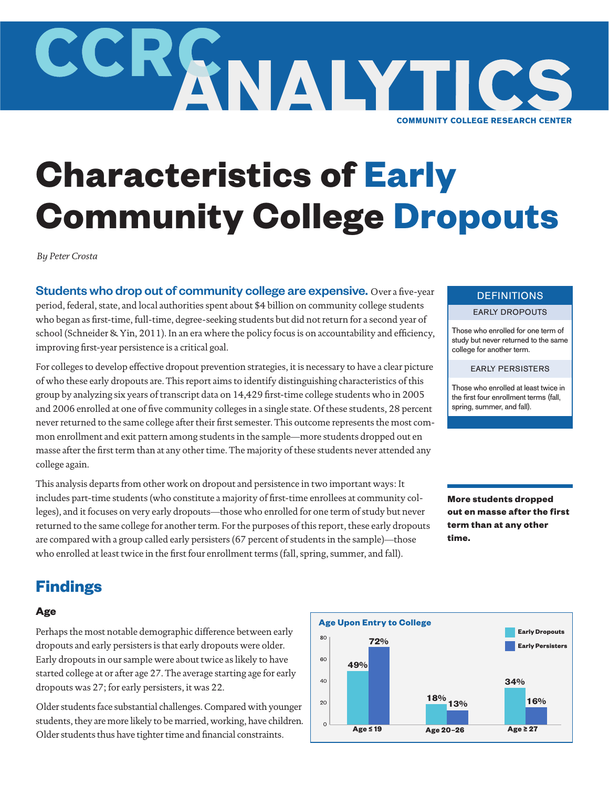

# **Characteristics of Early Community College Dropouts**

*By Peter Crosta*

Students who drop out of community college are expensive. Over a five-year period, federal, state, and local authorities spent about \$4 billion on community college students who began as first-time, full-time, degree-seeking students but did not return for a second year of school (Schneider & Yin, 2011). In an era where the policy focus is on accountability and efficiency, improving first-year persistence is a critical goal.

For colleges to develop effective dropout prevention strategies, it is necessary to have a clear picture of who these early dropouts are. This report aims to identify distinguishing characteristics of this group by analyzing six years of transcript data on 14,429 first-time college students who in 2005 and 2006 enrolled at one of five community colleges in a single state. Of these students, 28 percent never returned to the same college after their first semester. This outcome represents the most common enrollment and exit pattern among students in the sample—more students dropped out en masse after the first term than at any other time. The majority of these students never attended any college again.

This analysis departs from other work on dropout and persistence in two important ways: It includes part-time students (who constitute a majority of first-time enrollees at community colleges), and it focuses on very early dropouts—those who enrolled for one term of study but never returned to the same college for another term. For the purposes of this report, these early dropouts are compared with a group called early persisters (67 percent of students in the sample)—those who enrolled at least twice in the first four enrollment terms (fall, spring, summer, and fall).

## **DEFINITIONS**

#### EARLY DROPOUTS

Those who enrolled for one term of study but never returned to the same college for another term.

### EARLY PERSISTERS

Those who enrolled at least twice in the first four enrollment terms (fall, spring, summer, and fall).

**More students dropped out en masse after the first term than at any other time.**



#### **Age**

Perhaps the most notable demographic difference between early dropouts and early persisters is that early dropouts were older. Early dropouts in our sample were about twice as likely to have started college at or after age 27. The average starting age for early dropouts was 27; for early persisters, it was 22.

Older students face substantial challenges. Compared with younger students, they are more likely to be married, working, have children. Older students thus have tighter time and financial constraints.

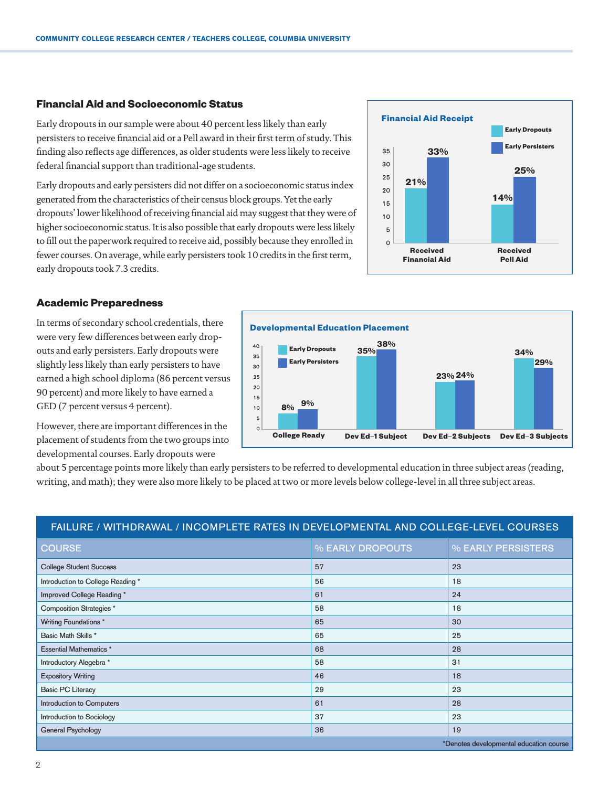## **Financial Aid and Socioeconomic Status**

Early dropouts in our sample were about 40 percent less likely than early persisters to receive financial aid or a Pell award in their first term of study. This finding also reflects age differences, as older students were less likely to receive federal financial support than traditional-age students.

Early dropouts and early persisters did not differ on a socioeconomic status index generated from the characteristics of their census block groups. Yet the early dropouts' lower likelihood of receiving financial aid may suggest that they were of higher socioeconomic status. It is also possible that early dropouts were less likely to fill out the paperwork required to receive aid, possibly because they enrolled in fewer courses. On average, while early persisters took 10 credits in the first term, early dropouts took 7.3 credits.



## **Academic Preparedness**

In terms of secondary school credentials, there were very few differences between early dropouts and early persisters. Early dropouts were slightly less likely than early persisters to have earned a high school diploma (86 percent versus 90 percent) and more likely to have earned a GED (7 percent versus 4 percent).



However, there are important differences in the placement of students from the two groups into developmental courses. Early dropouts were

about 5 percentage points more likely than early persisters to be referred to developmental education in three subject areas (reading, writing, and math); they were also more likely to be placed at two or more levels below college-level in all three subject areas.

## FAILURE / WITHDRAWAL / INCOMPLETE RATES IN DEVELOPMENTAL AND COLLEGE-LEVEL COURSES

| <b>COURSE</b>                           | % EARLY DROPOUTS | % EARLY PERSISTERS |
|-----------------------------------------|------------------|--------------------|
| <b>College Student Success</b>          | 57               | 23                 |
| Introduction to College Reading *       | 56               | 18                 |
| Improved College Reading*               | 61               | 24                 |
| Composition Strategies *                | 58               | 18                 |
| Writing Foundations *                   | 65               | 30                 |
| Basic Math Skills *                     | 65               | 25                 |
| <b>Essential Mathematics *</b>          | 68               | 28                 |
| Introductory Alegebra *                 | 58               | 31                 |
| <b>Expository Writing</b>               | 46               | 18                 |
| <b>Basic PC Literacy</b>                | 29               | 23                 |
| Introduction to Computers               | 61               | 28                 |
| Introduction to Sociology               | 37               | 23                 |
| <b>General Psychology</b>               | 36               | 19                 |
| *Denotes developmental education course |                  |                    |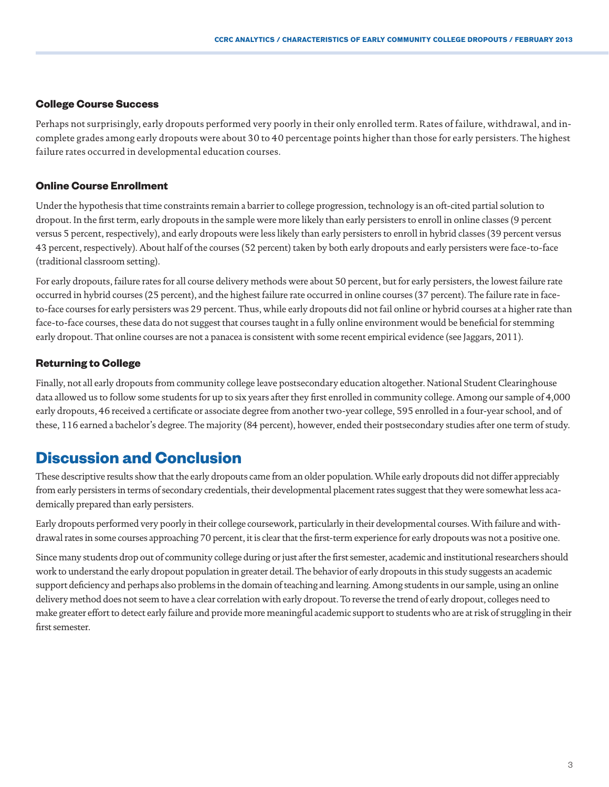## **College Course Success**

Perhaps not surprisingly, early dropouts performed very poorly in their only enrolled term. Rates of failure, withdrawal, and incomplete grades among early dropouts were about 30 to 40 percentage points higher than those for early persisters. The highest failure rates occurred in developmental education courses.

## **Online Course Enrollment**

Under the hypothesis that time constraints remain a barrier to college progression, technology is an oft-cited partial solution to dropout. In the first term, early dropouts in the sample were more likely than early persisters to enroll in online classes (9 percent versus 5 percent, respectively), and early dropouts were less likely than early persisters to enroll in hybrid classes (39 percent versus 43 percent, respectively). About half of the courses (52 percent) taken by both early dropouts and early persisters were face-to-face (traditional classroom setting).

For early dropouts, failure rates for all course delivery methods were about 50 percent, but for early persisters, the lowest failure rate occurred in hybrid courses (25 percent), and the highest failure rate occurred in online courses (37 percent). The failure rate in faceto-face courses for early persisters was 29 percent. Thus, while early dropouts did not fail online or hybrid courses at a higher rate than face-to-face courses, these data do not suggest that courses taught in a fully online environment would be beneficial for stemming early dropout. That online courses are not a panacea is consistent with some recent empirical evidence (see Jaggars, 2011).

## **Returning to College**

Finally, not all early dropouts from community college leave postsecondary education altogether. National Student Clearinghouse data allowed us to follow some students for up to six years after they first enrolled in community college. Among our sample of 4,000 early dropouts, 46 received a certificate or associate degree from another two-year college, 595 enrolled in a four-year school, and of these, 116 earned a bachelor's degree. The majority (84 percent), however, ended their postsecondary studies after one term of study.

## **Discussion and Conclusion**

These descriptive results show that the early dropouts came from an older population. While early dropouts did not differ appreciably from early persisters in terms of secondary credentials, their developmental placement rates suggest that they were somewhat less academically prepared than early persisters.

Early dropouts performed very poorly in their college coursework, particularly in their developmental courses. With failure and withdrawal rates in some courses approaching 70 percent, it is clear that the first-term experience for early dropouts was not a positive one.

Since many students drop out of community college during or just after the first semester, academic and institutional researchers should work to understand the early dropout population in greater detail. The behavior of early dropouts in this study suggests an academic support deficiency and perhaps also problems in the domain of teaching and learning. Among students in our sample, using an online delivery method does not seem to have a clear correlation with early dropout. To reverse the trend of early dropout, colleges need to make greater effort to detect early failure and provide more meaningful academic support to students who are at risk of struggling in their first semester.